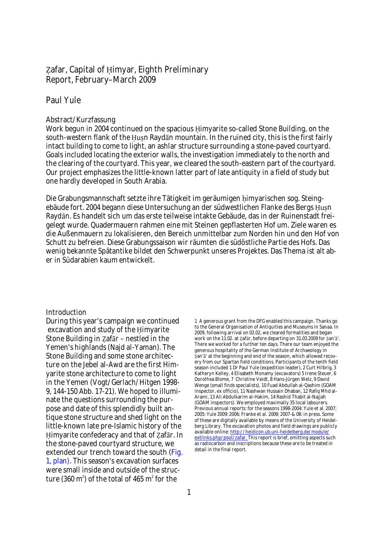# Zafar, Capital of Himyar, Eighth Preliminary Report, February–March 2009

# Paul Yule

## Abstract/Kurzfassung

Work begun in 2004 continued on the spacious Himyarite so-called Stone Building, on the south-western flank of the Ḥuṣn Raydān mountain. In the ruined city, this is the first fairly intact building to come to light, an ashlar structure surrounding a stone-paved courtyard. Goals included locating the exterior walls, the investigation immediately to the north and the clearing of the courtyard. This year, we cleared the south-eastern part of the courtyard. Our project emphasizes the little-known latter part of late antiquity in a field of study but one hardly developed in South Arabia.

Die Grabungsmannschaft setzte ihre Tätigkeit im geräumigen himyarischen sog. Steingebäude fort. 2004 begann diese Untersuchung an der südwestlichen Flanke des Bergs Husn Raydān. Es handelt sich um das erste teilweise intakte Gebäude, das in der Ruinenstadt freigelegt wurde. Quadermauern rahmen eine mit Steinen gepflasterten Hof um. Ziele waren es die Außenmauern zu lokalisieren, den Bereich unmittelbar zum Norden hin und den Hof von Schutt zu befreien. Diese Grabungssaison wir räumten die südöstliche Partie des Hofs. Das wenig bekannte Spätantike bildet den Schwerpunkt unseres Projektes. Das Thema ist alt aber in Südarabien kaum entwickelt.

## Introduction

During this year's campaign we continued excavation and study of the Himyarite Stone Building in ẓafār – nestled in the Yemen's highlands (Najd al-Yaman). The Stone Building and some stone architecture on the Jebel al-Awd are the first Himyarite stone architecture to come to light in the Yemen (Vogt/Gerlach/Hitgen 1998- 9, 144-150 Abb. 17-21). We hoped to illuminate the questions surrounding the purpose and date of this splendidly built antique stone structure and shed light on the little-known late pre-Islamic history of the Ḥimyarite confederacy and that of ẓafār. In the stone-paved courtyard structure, we extended our trench toward the south ( Fig. 1, plan). This season's excavation surfaces were small inside and outside of the structure (360 m<sup>2</sup>) of the total of 465 m<sup>2</sup> for the

1 A generous grant from the DFG enabled this campaign. Thanks go to the General Organisation of Antiquities and Museums in Sanaa. In 2009, following arrival on 02.02, we cleared formalities and began work on the 11.02. at Zafār, before departing on 31.03.2009 for ṣan'ā'. There we worked for a further ten days. There our team enjoyed the generous hospitality of the German Institute of Archaeology in ṣan'ā' at the beginning and end of the season, which allowed recovery from our Spartan field conditions. Participants of the tenth field season included 1 Dr Paul Yule (expedition leader), 2 Curt Hilbrig, 3 Katheryn Kelley, 4 Elisabeth Monamy (excavators) 5 Irene Steuer, 6 Dorothea Blome, 7 Christine Veidt, 8 Hans-Jürgen Welz, 9 David Wenge (small finds specialists), 10 Fuad Abdullah al-Qashim (GOAM inspector, ex officio), 11 Nashwan Hussain Dhaban, 12 Rafiq Mhd al-Arami, 13 Ali Abdulkarim al-Hakim, 14 Rashid Thabit al-Najjah (GOAM inspectors). We employed maximally 35 local labourers. Previous annual reports: for the seasons 1998-2004: Yule et al. 2007; 2005: Yule 2009: 2006: Franke et al. 2009; 2007-& 08: in press. Some of these are digitally available by means of the University of Heidelberg Library. The excavation photos and field drawings are publicly available online: <http://heidicon.ub.uni-heidelberg.de/module/> extlinks.php/pool/zafar. This report is brief, omitting aspects such as radiocarbon and inscriptions because these are to be treated in detail in the final report.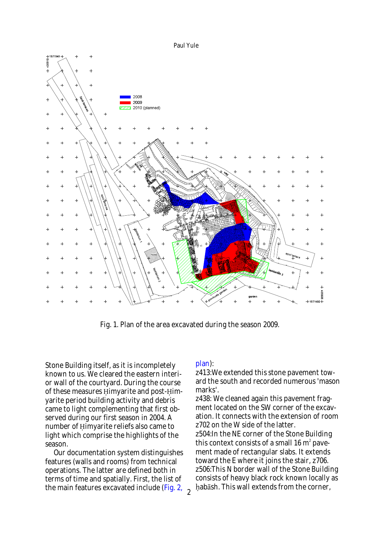Paul Yule



Fig. 1. Plan of the area excavated during the season 2009.

Stone Building itself, as it is incompletely known to us. We cleared the eastern interior wall of the courtyard. During the course of these measures Himyarite and post-Himyarite period building activity and debris came to light complementing that first observed during our first season in 2004. A number of Himyarite reliefs also came to light which comprise the highlights of the season.

Our documentation system distinguishes features (walls and rooms) from technical operations. The latter are defined both in terms of time and spatially. First, the list of the main features excavated include (Fig. 2, <sub>2</sub>

## plan):

z413:We extended this stone pavement toward the south and recorded numerous 'mason marks'.

z438: We cleaned again this pavement fragment located on the SW corner of the excavation. It connects with the extension of room z702 on the W side of the latter. z504:In the NE corner of the Stone Building this context consists of a small 16  $m<sup>2</sup>$  pavement made of rectangular slabs. It extends toward the E where it joins the stair, z706. z506:This N border wall of the Stone Building consists of heavy black rock known locally as ḥabāsh. This wall extends from the corner,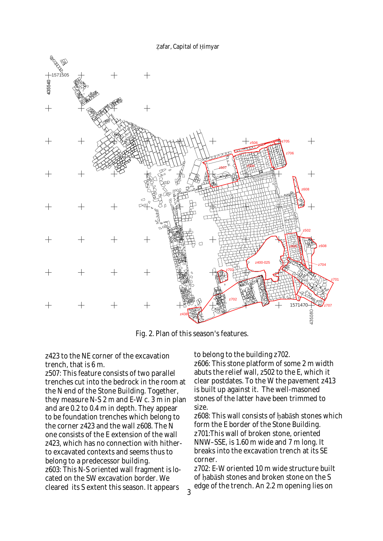

Fig. 2. Plan of this season's features.

## z423 to the NE corner of the excavation trench, that is 6 m.

z507: This feature consists of two parallel trenches cut into the bedrock in the room at the N end of the Stone Building. Together, they measure N-S 2 m and E-W c. 3 m in plan and are 0.2 to 0.4 m in depth. They appear to be foundation trenches which belong to the corner z423 and the wall z608. The N one consists of the E extension of the wall z423, which has no connection with hitherto excavated contexts and seems thus to belong to a predecessor building. z603: This N-S oriented wall fragment is located on the SW excavation border. We cleared its S extent this season. It appears

to belong to the building z702. z606: This stone platform of some 2 m width abuts the relief wall, z502 to the E, which it clear postdates. To the W the pavement z413 is built up against it. The well-masoned stones of the latter have been trimmed to size.

z608: This wall consists of habash stones which form the E border of the Stone Building. z701:This wall of broken stone, oriented NNW–SSE, is 1.60 m wide and 7 m long. It breaks into the excavation trench at its SE corner.

z702: E-W oriented 10 m wide structure built of habash stones and broken stone on the S edge of the trench. An 2.2 m opening lies on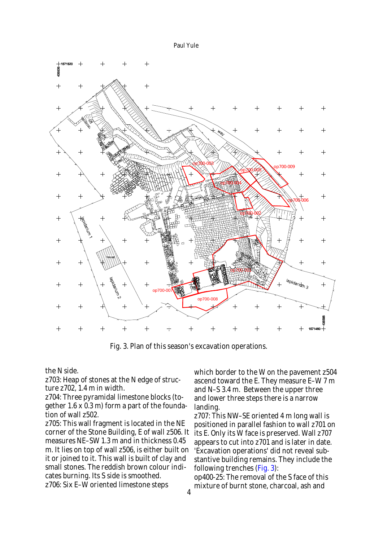Paul Yule



Fig. 3. Plan of this season's excavation operations.

the N side.

z703: Heap of stones at the N edge of structure z702, 1.4 m in width.

z704: Three pyramidal limestone blocks (together 1.6 x 0.3 m) form a part of the foundation of wall z502.

z705: This wall fragment is located in the NE corner of the Stone Building, E of wall z506. It measures NE–SW 1.3 m and in thickness 0.45 m. It lies on top of wall z506, is either built on it or joined to it. This wall is built of clay and small stones. The reddish brown colour indicates burning. Its S side is smoothed. z706: Six E–W oriented limestone steps

which border to the W on the pavement z504 ascend toward the E. They measure E–W 7 m and N–S 3.4 m. Between the upper three and lower three steps there is a narrow landing.

z707: This NW–SE oriented 4 m long wall is positioned in parallel fashion to wall z701 on its E. Only its W face is preserved. Wall z707 appears to cut into z701 and is later in date. 'Excavation operations' did not reveal substantive building remains. They include the following trenches (Fig. 3):

op400-25: The removal of the S face of this mixture of burnt stone, charcoal, ash and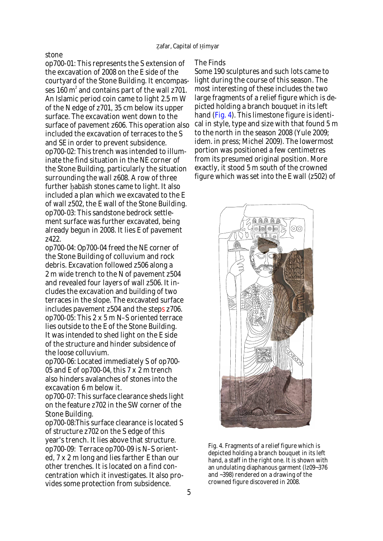### stone

op700-01: This represents the S extension of the excavation of 2008 on the E side of the courtyard of the Stone Building. It encompasses 160  $\textsf{m}^{\scriptscriptstyle{2}}$  and contains part of the wall z701. An Islamic period coin came to light 2.5 m W of the N edge of z701, 35 cm below its upper surface. The excavation went down to the surface of pavement z606. This operation also included the excavation of terraces to the S and SE in order to prevent subsidence. op700-02: This trench was intended to illuminate the find situation in the NE corner of the Stone Building, particularly the situation surrounding the wall z608. A row of three further ḥabāsh stones came to light. It also included a plan which we excavated to the E of wall z502, the E wall of the Stone Building. op700-03: This sandstone bedrock settlement surface was further excavated, being already begun in 2008. It lies E of pavement z422.

op700-04: Op700-04 freed the NE corner of the Stone Building of colluvium and rock debris. Excavation followed z506 along a 2 m wide trench to the N of pavement z504 and revealed four layers of wall z506. It includes the excavation and building of two terraces in the slope. The excavated surface includes pavement z504 and the steps z706. op700-05: This 2 x 5 m N–S oriented terrace lies outside to the E of the Stone Building. It was intended to shed light on the E side of the structure and hinder subsidence of the loose colluvium.

op700-06: Located immediately S of op700- 05 and E of op700-04, this 7 x 2 m trench also hinders avalanches of stones into the excavation 6 m below it.

op700-07: This surface clearance sheds light on the feature z702 in the SW corner of the Stone Building.

op700-08:This surface clearance is located S of structure z702 on the S edge of this year's trench. It lies above that structure. op700-09: Terrace op700-09 is N–S oriented, 7 x 2 m long and lies farther E than our other trenches. It is located on a find concentration which it investigates. It also provides some protection from subsidence.

## The Finds

Some 190 sculptures and such lots came to light during the course of this season. The most interesting of these includes the two large fragments of a relief figure which is depicted holding a branch bouquet in its left hand (Fig. 4). This limestone figure is identical in style, type and size with that found 5 m to the north in the season 2008 (Yule 2009; idem. in press; Michel 2009). The lowermost portion was positioned a few centimetres from its presumed original position. More exactly, it stood 5 m south of the crowned figure which was set into the E wall (z502) of



Fig. 4. Fragments of a relief figure which is depicted holding a branch bouquet in its left hand, a staff in the right one. It is shown with an undulating diaphanous garment (lz09~376 and ~398) rendered on a drawing of the crowned figure discovered in 2008.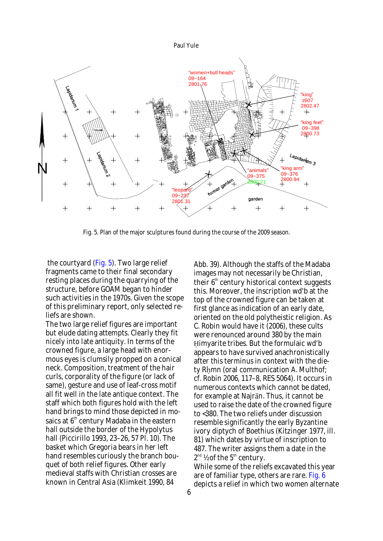

Fig. 5. Plan of the major sculptures found during the course of the 2009 season.

the courtyard (Fig. 5). Two large relief fragments came to their final secondary resting places during the quarrying of the structure, before GOAM began to hinder such activities in the 1970s. Given the scope of this preliminary report, only selected reliefs are shown.

The two large relief figures are important but elude dating attempts. Clearly they fit nicely into late antiquity. In terms of the crowned figure, a large head with enormous eyes is clumsily propped on a conical neck. Composition, treatment of the hair curls, corporality of the figure (or lack of same), gesture and use of leaf-cross motif all fit well in the late antique context. The staff which both figures hold with the left hand brings to mind those depicted in mosaics at  $\boldsymbol{6}^{\text{\tiny th}}$  century Madaba in the eastern hall outside the border of the Hypolytus hall (Piccirillo 1993, 23–26, 57 Pl. 10). The basket which Gregoria bears in her left hand resembles curiously the branch bouquet of both relief figures. Other early medieval staffs with Christian crosses are known in Central Asia (Klimkeit 1990, 84

Abb. 39). Although the staffs of the Madaba images may not necessarily be Christian, their 6<sup>th</sup> century historical context suggests this. Moreover, the inscription wd'b at the top of the crowned figure can be taken at first glance as indication of an early date, oriented on the old polytheistic religion. As C. Robin would have it (2006), these cults were renounced around 380 by the main Himyarite tribes. But the formulaic wd'b appears to have survived anachronistically after this terminus in context with the diety Rhmn (oral communication A. Multhof; cf. Robin 2006, 117–8, RES 5064). It occurs in numerous contexts which cannot be dated, for example at Najrān. Thus, it cannot be used to raise the date of the crowned figure to <380. The two reliefs under discussion resemble significantly the early Byzantine ivory diptych of Boethius (Kitzinger 1977, ill. 81) which dates by virtue of inscription to 487. The writer assigns them a date in the  $2^{nd}$  ½ of the  $5^{th}$  century.

While some of the reliefs excavated this year are of familiar type, others are rare. Fig. 6 depicts a relief in which two women alternate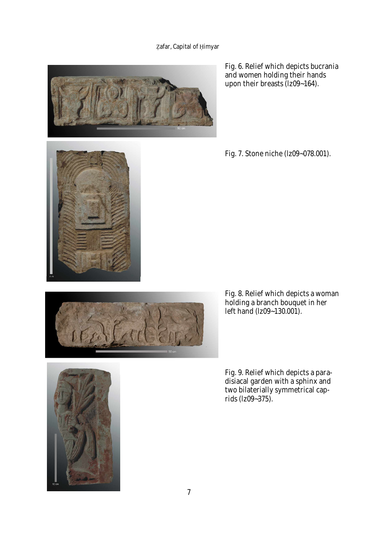# Zafar, Capital of Himyar



Fig. 6. Relief which depicts bucrania and women holding their hands upon their breasts (lz09~164).

Fig. 7. Stone niche (lz09~078.001).







Fig. 8. Relief which depicts a woman holding a branch bouquet in her left hand (lz09~130.001).

Fig. 9. Relief which depicts a paradisiacal garden with a sphinx and two bilaterially symmetrical caprids (lz09~375).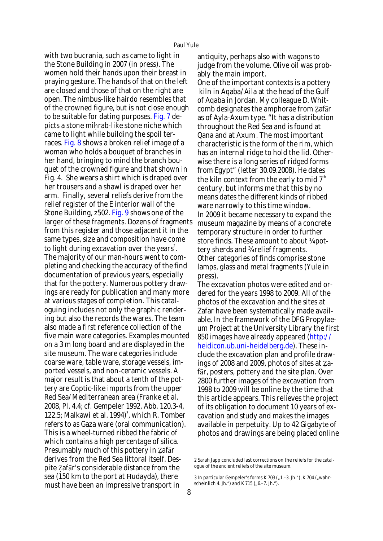with two bucrania, such as came to light in the Stone Building in 2007 (in press). The women hold their hands upon their breast in praying gesture. The hands of that on the left are closed and those of that on the right are open. The nimbus-like hairdo resembles that of the crowned figure, but is not close enough to be suitable for dating purposes. Fig. 7 depicts a stone mihrab-like stone niche which came to light while building the spoil terraces. Fig. 8 shows a broken relief image of a woman who holds a bouquet of branches in her hand, bringing to mind the branch bouquet of the crowned figure and that shown in Fig. 4. She wears a shirt which is draped over her trousers and a shawl is draped over her arm. Finally, several reliefs derive from the relief register of the E interior wall of the Stone Building, z502. Fig. 9 shows one of the larger of these fragments. Dozens of fragments from this register and those adjacent it in the same types, size and composition have come to light during excavation over the years<sup>2</sup>. The majority of our man-hours went to completing and checking the accuracy of the find documentation of previous years, especially that for the pottery. Numerous pottery drawings are ready for publication and many more at various stages of completion. This cataloguing includes not only the graphic rendering but also the records the wares. The team also made a first reference collection of the five main ware categories. Examples mounted on a 3 m long board and are displayed in the site museum. The ware categories include coarse ware, table ware, storage vessels, imported vessels, and non-ceramic vessels. A major result is that about a tenth of the pottery are Coptic-like imports from the upper Red Sea/Mediterranean area (Franke et al. 2008, Pl. 4.4; cf. Gempeler 1992, Abb. 120.3-4, 122.5; Malkawi et al. 1994) $^3$ , which R. Tomber refers to as Gaza ware (oral communication). This is a wheel-turned ribbed the fabric of which contains a high percentage of silica. Presumably much of this pottery in ẓafār derives from the Red Sea littoral itself. Despite ẓafār's considerable distance from the sea (150 km to the port at Hudayda), there must have been an impressive transport in

antiquity, perhaps also with wagons to judge from the volume. Olive oil was probably the main import.

One of the important contexts is a pottery kiln in Aqaba/Aila at the head of the Gulf of Aqaba in Jordan. My colleague D. Whitcomb designates the amphorae from ẓafār as of Ayla-Axum type. "It has a distribution throughout the Red Sea and is found at Qana and at Axum. The most important characteristic is the form of the rim, which has an internal ridge to hold the lid. Otherwise there is a long series of ridged forms from Egypt" (letter 30.09.2008). He dates the kiln context from the early to mid  $7<sup>th</sup>$ century, but informs me that this by no means dates the different kinds of ribbed ware narrowly to this time window. In 2009 it became necessary to expand the museum magazine by means of a concrete temporary structure in order to further store finds. These amount to about ¼ pottery sherds and ¾ relief fragments. Other categories of finds comprise stone lamps, glass and metal fragments (Yule in press).

The excavation photos were edited and ordered for the years 1998 to 2009. All of the photos of the excavation and the sites at Zafar have been systematically made available. In the framework of the DFG Propylaeum Project at the University Library the first 850 images have already appeared ( http:// heidicon.ub.uni-heidelberg.de). These include the excavation plan and profile drawings of 2008 and 2009, photos of sites at Zafār, posters, pottery and the site plan. Over 2800 further images of the excavation from 1998 to 2009 will be online by the time that this article appears. This relieves the project of its obligation to document 10 years of excavation and study and makes the images available in perpetuity. Up to 42 Gigabyte of photos and drawings are being placed online

<sup>2</sup> Sarah Japp concluded last corrections on the reliefs for the catalogue of the ancient reliefs of the site museum.

<sup>3</sup> In particular Gempeler's forms K 703 ("1.–3. Jh."), K 704 ("wahrscheinlich 4. Jh. ") and K 715 ("6.–7. Jh. ").